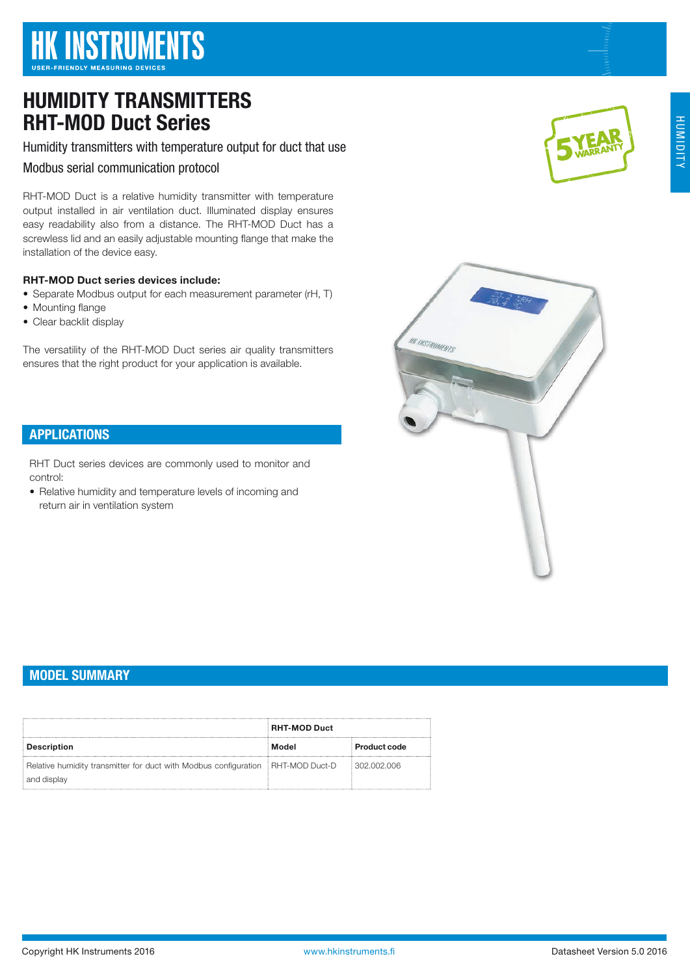# HUMIDITY TRANSMITTERS RHT-MOD Duct Series

Humidity transmitters with temperature output for duct that use

Modbus serial communication protocol

RHT-MOD Duct is a relative humidity transmitter with temperature output installed in air ventilation duct. Illuminated display ensures easy readability also from a distance. The RHT-MOD Duct has a screwless lid and an easily adjustable mounting flange that make the installation of the device easy.

### RHT-MOD Duct series devices include:

- Separate Modbus output for each measurement parameter (rH, T)
- Mounting flange
- Clear backlit display

The versatility of the RHT-MOD Duct series air quality transmitters ensures that the right product for your application is available.



RHT Duct series devices are commonly used to monitor and control:

• Relative humidity and temperature levels of incoming and return air in ventilation system





## MODEL SUMMARY

|                                                                                                | <b>RHT-MOD Duct</b> |                     |  |
|------------------------------------------------------------------------------------------------|---------------------|---------------------|--|
| Description                                                                                    | Model               | <b>Product code</b> |  |
| Relative humidity transmitter for duct with Modbus configuration RHT-MOD Duct-D<br>and display |                     | 302,002,006         |  |